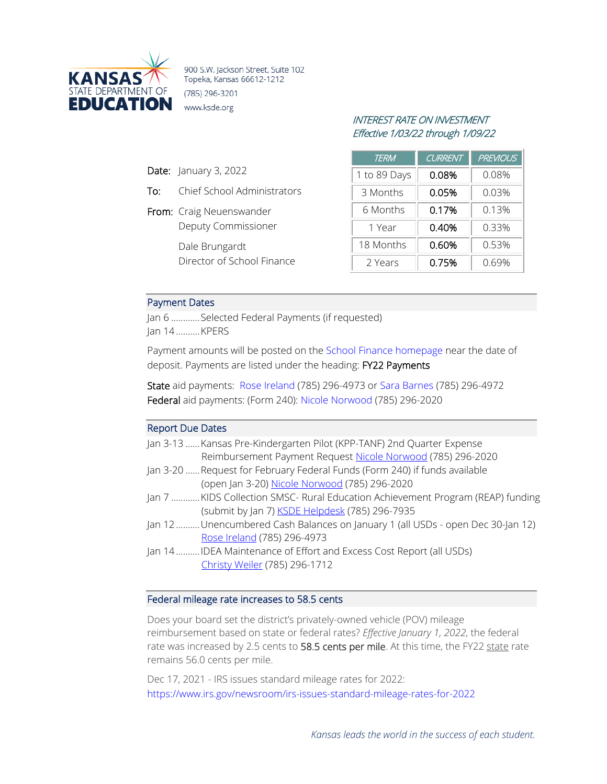

900 S.W. Jackson Street, Suite 102 Topeka, Kansas 66612-1212 (785) 296-3201 www.ksde.org

# INTEREST RATE ON INVESTMENT Effective 1/03/22 through 1/09/22

| <b>TERM</b>  | <b>CURRENT</b> | <b>PREVIOUS</b> |
|--------------|----------------|-----------------|
| 1 to 89 Days | 0.08%          | 0.08%           |
| 3 Months     | 0.05%          | 0.03%           |
| 6 Months     | 0.17%          | 0.13%           |
| 1 Year       | 0.40%          | 0.33%           |
| 18 Months    | 0.60%          | 0.53%           |
| 2 Years      | 0.75%          | 0.69%           |

## Payment Dates

Date: January 3, 2022

To: Chief School Administrators

Deputy Commissioner

Director of School Finance

From: Craig Neuenswander

Dale Brungardt

Jan 6 ............Selected Federal Payments (if requested) Jan 14..........KPERS

Payment amounts will be posted on the [School Finance homepage](http://www.ksde.org/Agency/Fiscal-and-Administrative-Services/School-Finance/Payment-Information) near the date of deposit. Payments are listed under the heading: FY22 Payments

State aid payments: [Rose Ireland](mailto:rireland@ksde.org) (785) 296-4973 or [Sara Barnes](mailto:sbarnes@ksde.org) (785) 296-4972 Federal aid payments: (Form 240): [Nicole Norwood](mailto:nnorwood@ksde.org) (785) 296-2020

#### Report Due Dates

| Jan 3-13  Kansas Pre-Kindergarten Pilot (KPP-TANF) 2nd Quarter Expense         |
|--------------------------------------------------------------------------------|
| Reimbursement Payment Request Nicole Norwood (785) 296-2020                    |
| Jan 3-20 Request for February Federal Funds (Form 240) if funds available      |
| (open Jan 3-20) Nicole Norwood (785) 296-2020                                  |
| Jan 7 KIDS Collection SMSC- Rural Education Achievement Program (REAP) funding |
| (submit by Jan 7) <b>KSDE Helpdesk</b> (785) 296-7935                          |
| Jan 12Unencumbered Cash Balances on January 1 (all USDs - open Dec 30-Jan 12)  |
| Rose Ireland (785) 296-4973                                                    |
| Jan 14IDEA Maintenance of Effort and Excess Cost Report (all USDs)             |
| Christy Weiler (785) 296-1712                                                  |
|                                                                                |

### Federal mileage rate increases to 58.5 cents

Does your board set the district's privately-owned vehicle (POV) mileage reimbursement based on state or federal rates? *Effective January 1, 2022*, the federal rate was increased by 2.5 cents to 58.5 cents per mile. At this time, the FY22 state rate remains 56.0 cents per mile.

Dec 17, 2021 - IRS issues standard mileage rates for 2022: <https://www.irs.gov/newsroom/irs-issues-standard-mileage-rates-for-2022>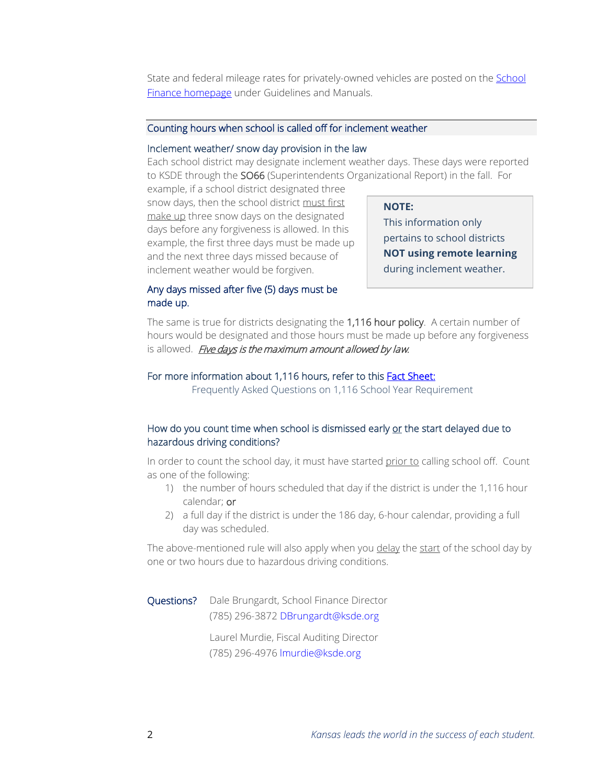State and federal mileage rates for privately-owned vehicles are posted on th[e School](http://www.ksde.org/Agency/Fiscal-and-Administrative-Services/School-Finance/Guidelines-and-Manuals)  [Finance homepage](http://www.ksde.org/Agency/Fiscal-and-Administrative-Services/School-Finance/Guidelines-and-Manuals) under Guidelines and Manuals.

#### Counting hours when school is called off for inclement weather

#### Inclement weather/ snow day provision in the law

Each school district may designate inclement weather days. These days were reported to KSDE through the SO66 (Superintendents Organizational Report) in the fall. For

example, if a school district designated three snow days, then the school district must first make up three snow days on the designated days before any forgiveness is allowed. In this example, the first three days must be made up and the next three days missed because of inclement weather would be forgiven.

#### **NOTE:**

This information only pertains to school districts **NOT using remote learning** during inclement weather.

## Any days missed after five (5) days must be made up.

The same is true for districts designating the 1,116 hour policy. A certain number of hours would be designated and those hours must be made up before any forgiveness is allowed. Five days is the maximum amount allowed by law.

### For more information about 1,116 hours, refer to this **Fact Sheet:**

Frequently Asked Questions on 1,116 School Year Requirement

## How do you count time when school is dismissed early or the start delayed due to hazardous driving conditions?

In order to count the school day, it must have started prior to calling school off. Count as one of the following:

- 1) the number of hours scheduled that day if the district is under the 1,116 hour calendar; or
- 2) a full day if the district is under the 186 day, 6-hour calendar, providing a full day was scheduled.

The above-mentioned rule will also apply when you delay the start of the school day by one or two hours due to hazardous driving conditions.

Questions? Dale Brungardt, School Finance Director (785) 296-3872 [DBrungardt@ksde.org](mailto:DBrungardt@ksde.org)

> Laurel Murdie, Fiscal Auditing Director (785) 296-4976 [lmurdie@ksde.org](mailto:lmurdie@ksde.org)